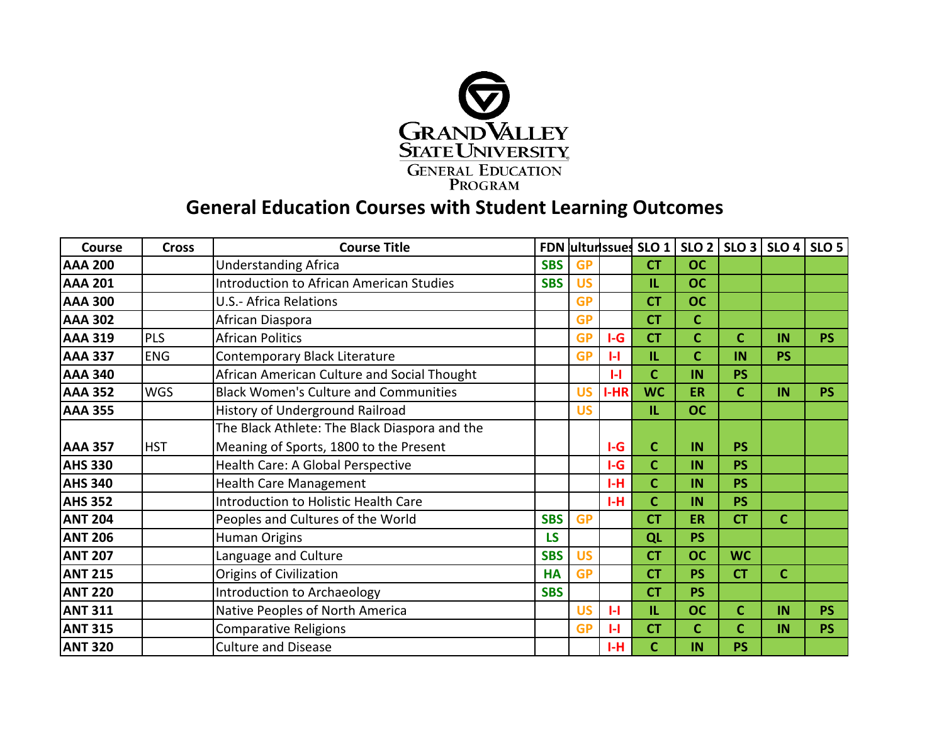

## **General Education Courses with Student Learning Outcomes**

| Course         | <b>Cross</b> | <b>Course Title</b>                             |            |           |              | <b>FDN</b> ulturissues SLO 1 |             | $SLO 2$   $SLO 3$   $SLO 4$   $SLO 5$ |             |           |
|----------------|--------------|-------------------------------------------------|------------|-----------|--------------|------------------------------|-------------|---------------------------------------|-------------|-----------|
| <b>AAA 200</b> |              | <b>Understanding Africa</b>                     | <b>SBS</b> | <b>GP</b> |              | <b>CT</b>                    | <b>OC</b>   |                                       |             |           |
| <b>AAA 201</b> |              | <b>Introduction to African American Studies</b> | <b>SBS</b> | <b>US</b> |              | IL.                          | <b>OC</b>   |                                       |             |           |
| <b>AAA 300</b> |              | <b>U.S.- Africa Relations</b>                   |            | <b>GP</b> |              | <b>CT</b>                    | <b>OC</b>   |                                       |             |           |
| <b>AAA 302</b> |              | African Diaspora                                |            | <b>GP</b> |              | <b>CT</b>                    | $\mathbf C$ |                                       |             |           |
| <b>AAA 319</b> | <b>PLS</b>   | <b>African Politics</b>                         |            | <b>GP</b> | $I-G$        | <b>CT</b>                    | $\mathbf C$ | $\mathbf c$                           | IN          | <b>PS</b> |
| <b>AAA 337</b> | <b>ENG</b>   | Contemporary Black Literature                   |            | <b>GP</b> | $\mathbf{H}$ | IL.                          | $\mathbf C$ | IN                                    | <b>PS</b>   |           |
| <b>AAA 340</b> |              | African American Culture and Social Thought     |            |           | $\mathbf{L}$ | $\mathbf{C}$                 | IN          | <b>PS</b>                             |             |           |
| <b>AAA 352</b> | <b>WGS</b>   | <b>Black Women's Culture and Communities</b>    |            | <b>US</b> | $I-HR$       | <b>WC</b>                    | <b>ER</b>   | C                                     | IN          | <b>PS</b> |
| <b>AAA 355</b> |              | History of Underground Railroad                 |            | <b>US</b> |              | IL.                          | <b>OC</b>   |                                       |             |           |
|                |              | The Black Athlete: The Black Diaspora and the   |            |           |              |                              |             |                                       |             |           |
| <b>AAA 357</b> | <b>HST</b>   | Meaning of Sports, 1800 to the Present          |            |           | $I-G$        | $\mathsf{C}$                 | IN          | <b>PS</b>                             |             |           |
| <b>AHS 330</b> |              | Health Care: A Global Perspective               |            |           | $I-G$        | $\mathbf{C}$                 | IN          | <b>PS</b>                             |             |           |
| <b>AHS 340</b> |              | <b>Health Care Management</b>                   |            |           | $I-H$        | $\mathbf c$                  | IN          | <b>PS</b>                             |             |           |
| <b>AHS 352</b> |              | <b>Introduction to Holistic Health Care</b>     |            |           | H            | $\mathbf{C}$                 | IN          | <b>PS</b>                             |             |           |
| <b>ANT 204</b> |              | Peoples and Cultures of the World               | <b>SBS</b> | <b>GP</b> |              | <b>CT</b>                    | <b>ER</b>   | <b>CT</b>                             | $\mathbf c$ |           |
| <b>ANT 206</b> |              | <b>Human Origins</b>                            | <b>LS</b>  |           |              | QL                           | <b>PS</b>   |                                       |             |           |
| <b>ANT 207</b> |              | Language and Culture                            | <b>SBS</b> | <b>US</b> |              | <b>CT</b>                    | <b>OC</b>   | <b>WC</b>                             |             |           |
| <b>ANT 215</b> |              | Origins of Civilization                         | <b>HA</b>  | <b>GP</b> |              | <b>CT</b>                    | <b>PS</b>   | <b>CT</b>                             | $\mathbf C$ |           |
| <b>ANT 220</b> |              | Introduction to Archaeology                     | <b>SBS</b> |           |              | <b>CT</b>                    | <b>PS</b>   |                                       |             |           |
| <b>ANT 311</b> |              | Native Peoples of North America                 |            | <b>US</b> | $\mathbf{H}$ | IL.                          | <b>OC</b>   | $\mathbf c$                           | IN          | <b>PS</b> |
| <b>ANT 315</b> |              | <b>Comparative Religions</b>                    |            | <b>GP</b> | $\mathbf{H}$ | <b>CT</b>                    | $\mathbf C$ | $\mathbf c$                           | IN          | <b>PS</b> |
| <b>ANT 320</b> |              | <b>Culture and Disease</b>                      |            |           | I-H          | $\mathsf{C}$                 | IN          | <b>PS</b>                             |             |           |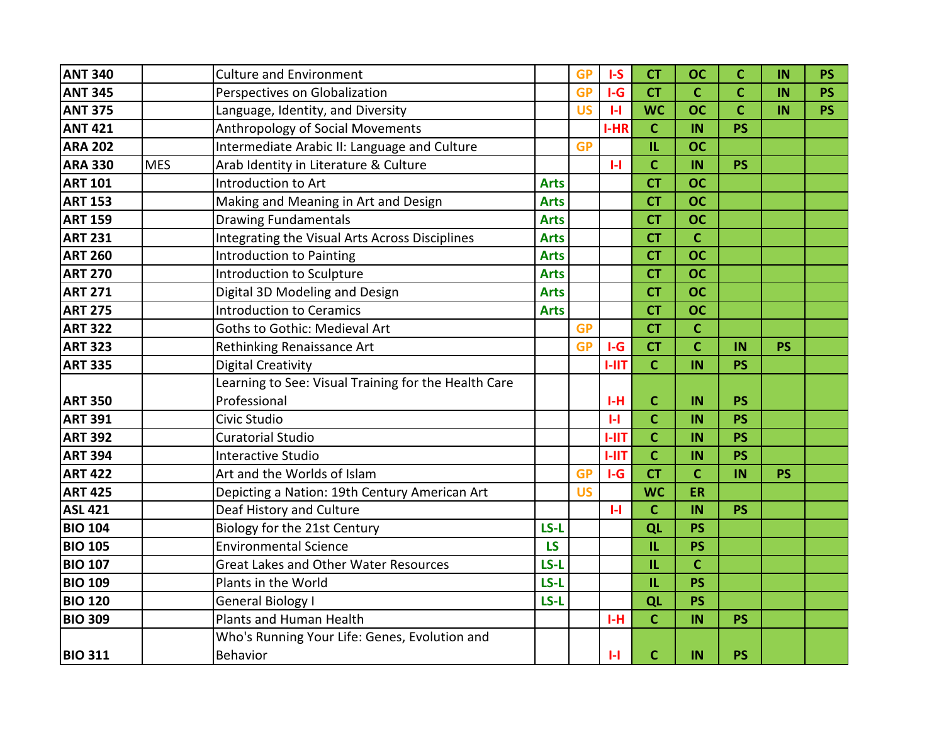| <b>ANT 340</b> |            | <b>Culture and Environment</b>                       |             | <b>GP</b> | $I-S$        | <b>CT</b>    | <b>OC</b>   | C           | IN        | <b>PS</b> |
|----------------|------------|------------------------------------------------------|-------------|-----------|--------------|--------------|-------------|-------------|-----------|-----------|
| <b>ANT 345</b> |            | Perspectives on Globalization                        |             | <b>GP</b> | $I-G$        | <b>CT</b>    | $\mathbf c$ | $\mathbf c$ | IN        | <b>PS</b> |
| <b>ANT 375</b> |            | Language, Identity, and Diversity                    |             | <b>US</b> | $\mathbf{H}$ | <b>WC</b>    | <b>OC</b>   | $\mathbf c$ | IN        | <b>PS</b> |
| <b>ANT 421</b> |            | Anthropology of Social Movements                     |             |           | $I-HR$       | $\mathbf C$  | IN          | <b>PS</b>   |           |           |
| <b>ARA 202</b> |            | Intermediate Arabic II: Language and Culture         |             | <b>GP</b> |              | IL           | <b>OC</b>   |             |           |           |
| <b>ARA 330</b> | <b>MES</b> | Arab Identity in Literature & Culture                |             |           | $\mathbf{H}$ | $\mathbf C$  | IN          | <b>PS</b>   |           |           |
| <b>ART 101</b> |            | Introduction to Art                                  | <b>Arts</b> |           |              | <b>CT</b>    | <b>OC</b>   |             |           |           |
| <b>ART 153</b> |            | Making and Meaning in Art and Design                 | <b>Arts</b> |           |              | <b>CT</b>    | <b>OC</b>   |             |           |           |
| <b>ART 159</b> |            | <b>Drawing Fundamentals</b>                          | <b>Arts</b> |           |              | <b>CT</b>    | <b>OC</b>   |             |           |           |
| <b>ART 231</b> |            | Integrating the Visual Arts Across Disciplines       | <b>Arts</b> |           |              | <b>CT</b>    | $\mathbf C$ |             |           |           |
| <b>ART 260</b> |            | <b>Introduction to Painting</b>                      | <b>Arts</b> |           |              | <b>CT</b>    | <b>OC</b>   |             |           |           |
| <b>ART 270</b> |            | Introduction to Sculpture                            | <b>Arts</b> |           |              | <b>CT</b>    | <b>OC</b>   |             |           |           |
| <b>ART 271</b> |            | Digital 3D Modeling and Design                       | <b>Arts</b> |           |              | <b>CT</b>    | <b>OC</b>   |             |           |           |
| <b>ART 275</b> |            | <b>Introduction to Ceramics</b>                      | <b>Arts</b> |           |              | <b>CT</b>    | <b>OC</b>   |             |           |           |
| <b>ART 322</b> |            | Goths to Gothic: Medieval Art                        |             | <b>GP</b> |              | <b>CT</b>    | $\mathbf c$ |             |           |           |
| <b>ART 323</b> |            | Rethinking Renaissance Art                           |             | <b>GP</b> | $I-G$        | <b>CT</b>    | $\mathbf c$ | IN          | <b>PS</b> |           |
| <b>ART 335</b> |            | <b>Digital Creativity</b>                            |             |           | $I-III$      | $\mathbf{C}$ | IN          | <b>PS</b>   |           |           |
|                |            | Learning to See: Visual Training for the Health Care |             |           |              |              |             |             |           |           |
| <b>ART 350</b> |            | Professional                                         |             |           | H            | $\mathbf C$  | IN          | <b>PS</b>   |           |           |
| <b>ART 391</b> |            | Civic Studio                                         |             |           | $\mathbf{H}$ | $\mathbf{C}$ | IN          | <b>PS</b>   |           |           |
| <b>ART 392</b> |            | <b>Curatorial Studio</b>                             |             |           | $I-III$      | $\mathbf C$  | IN          | <b>PS</b>   |           |           |
| <b>ART 394</b> |            | <b>Interactive Studio</b>                            |             |           | $I-III$      | $\mathbf{C}$ | IN          | <b>PS</b>   |           |           |
| <b>ART 422</b> |            | Art and the Worlds of Islam                          |             | <b>GP</b> | $I-G$        | <b>CT</b>    | $\mathbf c$ | IN          | <b>PS</b> |           |
| <b>ART 425</b> |            | Depicting a Nation: 19th Century American Art        |             | <b>US</b> |              | <b>WC</b>    | ER          |             |           |           |
| <b>ASL 421</b> |            | Deaf History and Culture                             |             |           | $\mathbf{H}$ | $\mathbf{C}$ | IN          | <b>PS</b>   |           |           |
| <b>BIO 104</b> |            | Biology for the 21st Century                         | LS-L        |           |              | QL           | <b>PS</b>   |             |           |           |
| <b>BIO 105</b> |            | <b>Environmental Science</b>                         | LS          |           |              | IL           | <b>PS</b>   |             |           |           |
| <b>BIO 107</b> |            | <b>Great Lakes and Other Water Resources</b>         | LS-L        |           |              | IL           | $\mathbf c$ |             |           |           |
| <b>BIO 109</b> |            | Plants in the World                                  | $LS-L$      |           |              | IL.          | <b>PS</b>   |             |           |           |
| <b>BIO 120</b> |            | <b>General Biology I</b>                             | LS-L        |           |              | QL           | <b>PS</b>   |             |           |           |
| <b>BIO 309</b> |            | Plants and Human Health                              |             |           | $I-H$        | $\mathbf C$  | IN          | <b>PS</b>   |           |           |
|                |            | Who's Running Your Life: Genes, Evolution and        |             |           |              |              |             |             |           |           |
| <b>BIO 311</b> |            | Behavior                                             |             |           | $\mathbf{H}$ | $\mathbf C$  | IN          | <b>PS</b>   |           |           |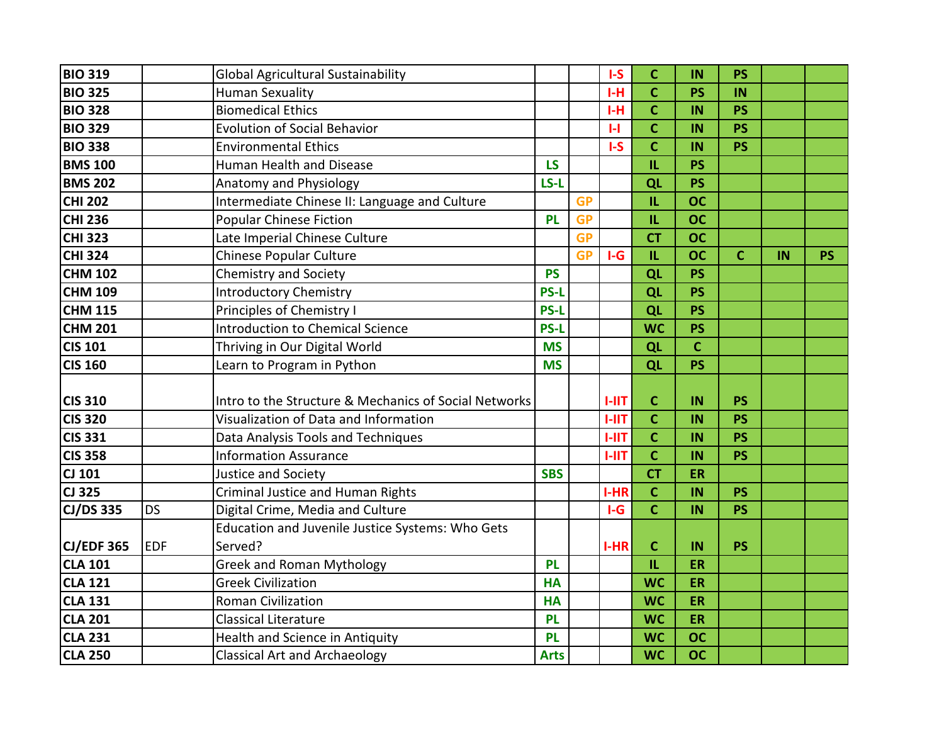| <b>BIO 319</b>    |            | <b>Global Agricultural Sustainability</b>             |             |           | $I-S$        | $\mathsf{C}$ | IN          | <b>PS</b>   |    |           |
|-------------------|------------|-------------------------------------------------------|-------------|-----------|--------------|--------------|-------------|-------------|----|-----------|
| <b>BIO 325</b>    |            | <b>Human Sexuality</b>                                |             |           | $I-H$        | $\mathbf{C}$ | <b>PS</b>   | IN          |    |           |
| <b>BIO 328</b>    |            | <b>Biomedical Ethics</b>                              |             |           | $I-H$        | $\mathbf{C}$ | IN          | <b>PS</b>   |    |           |
| <b>BIO 329</b>    |            | <b>Evolution of Social Behavior</b>                   |             |           | $\mathbf{H}$ | $\mathsf{C}$ | IN          | <b>PS</b>   |    |           |
| <b>BIO 338</b>    |            | <b>Environmental Ethics</b>                           |             |           | $I-S$        | $\mathbf C$  | IN          | <b>PS</b>   |    |           |
| <b>BMS 100</b>    |            | Human Health and Disease                              | <b>LS</b>   |           |              | IL.          | <b>PS</b>   |             |    |           |
| <b>BMS 202</b>    |            | Anatomy and Physiology                                | LS-L        |           |              | QL           | <b>PS</b>   |             |    |           |
| <b>CHI 202</b>    |            | Intermediate Chinese II: Language and Culture         |             | <b>GP</b> |              | IL           | <b>OC</b>   |             |    |           |
| <b>CHI 236</b>    |            | <b>Popular Chinese Fiction</b>                        | <b>PL</b>   | <b>GP</b> |              | IL.          | <b>OC</b>   |             |    |           |
| <b>CHI 323</b>    |            | Late Imperial Chinese Culture                         |             | <b>GP</b> |              | <b>CT</b>    | <b>OC</b>   |             |    |           |
| <b>CHI 324</b>    |            | <b>Chinese Popular Culture</b>                        |             | <b>GP</b> | $I-G$        | IL           | <b>OC</b>   | $\mathbf c$ | IN | <b>PS</b> |
| <b>CHM 102</b>    |            | <b>Chemistry and Society</b>                          | <b>PS</b>   |           |              | QL           | <b>PS</b>   |             |    |           |
| <b>CHM 109</b>    |            | <b>Introductory Chemistry</b>                         | <b>PS-L</b> |           |              | QL           | <b>PS</b>   |             |    |           |
| <b>CHM 115</b>    |            | Principles of Chemistry I                             | <b>PS-L</b> |           |              | QL           | <b>PS</b>   |             |    |           |
| <b>CHM 201</b>    |            | <b>Introduction to Chemical Science</b>               | <b>PS-L</b> |           |              | <b>WC</b>    | <b>PS</b>   |             |    |           |
| <b>CIS 101</b>    |            | Thriving in Our Digital World                         | <b>MS</b>   |           |              | QL           | $\mathbf C$ |             |    |           |
| <b>CIS 160</b>    |            | Learn to Program in Python                            | <b>MS</b>   |           |              | QL           | <b>PS</b>   |             |    |           |
| <b>CIS 310</b>    |            | Intro to the Structure & Mechanics of Social Networks |             |           | $1-11T$      | $\mathbf C$  | IN          | <b>PS</b>   |    |           |
| <b>CIS 320</b>    |            | Visualization of Data and Information                 |             |           | <b>I-IIT</b> | $\mathbf c$  | IN          | <b>PS</b>   |    |           |
| <b>CIS 331</b>    |            | Data Analysis Tools and Techniques                    |             |           | <b>I-IIT</b> | $\mathbf{C}$ | IN          | <b>PS</b>   |    |           |
| <b>CIS 358</b>    |            | <b>Information Assurance</b>                          |             |           | $1 - 11T$    | $\mathbf{C}$ | IN          | <b>PS</b>   |    |           |
| CJ 101            |            | Justice and Society                                   | <b>SBS</b>  |           |              | <b>CT</b>    | ER          |             |    |           |
| CJ 325            |            | Criminal Justice and Human Rights                     |             |           | $I-HR$       | $\mathbf{C}$ | IN          | <b>PS</b>   |    |           |
| <b>CJ/DS 335</b>  | <b>DS</b>  | Digital Crime, Media and Culture                      |             |           | $I-G$        | $\mathbf{C}$ | IN          | <b>PS</b>   |    |           |
|                   |            | Education and Juvenile Justice Systems: Who Gets      |             |           |              |              |             |             |    |           |
| <b>CJ/EDF 365</b> | <b>EDF</b> | Served?                                               |             |           | $I-HR$       | $\mathbf{C}$ | IN          | <b>PS</b>   |    |           |
| <b>CLA 101</b>    |            | <b>Greek and Roman Mythology</b>                      | <b>PL</b>   |           |              | IL           | <b>ER</b>   |             |    |           |
| <b>CLA 121</b>    |            | <b>Greek Civilization</b>                             | <b>HA</b>   |           |              | <b>WC</b>    | <b>ER</b>   |             |    |           |
| <b>CLA 131</b>    |            | <b>Roman Civilization</b>                             | <b>HA</b>   |           |              | <b>WC</b>    | <b>ER</b>   |             |    |           |
| <b>CLA 201</b>    |            | Classical Literature                                  | <b>PL</b>   |           |              | <b>WC</b>    | ER          |             |    |           |
| <b>CLA 231</b>    |            | Health and Science in Antiquity                       | <b>PL</b>   |           |              | <b>WC</b>    | <b>OC</b>   |             |    |           |
| <b>CLA 250</b>    |            | <b>Classical Art and Archaeology</b>                  | <b>Arts</b> |           |              | <b>WC</b>    | <b>OC</b>   |             |    |           |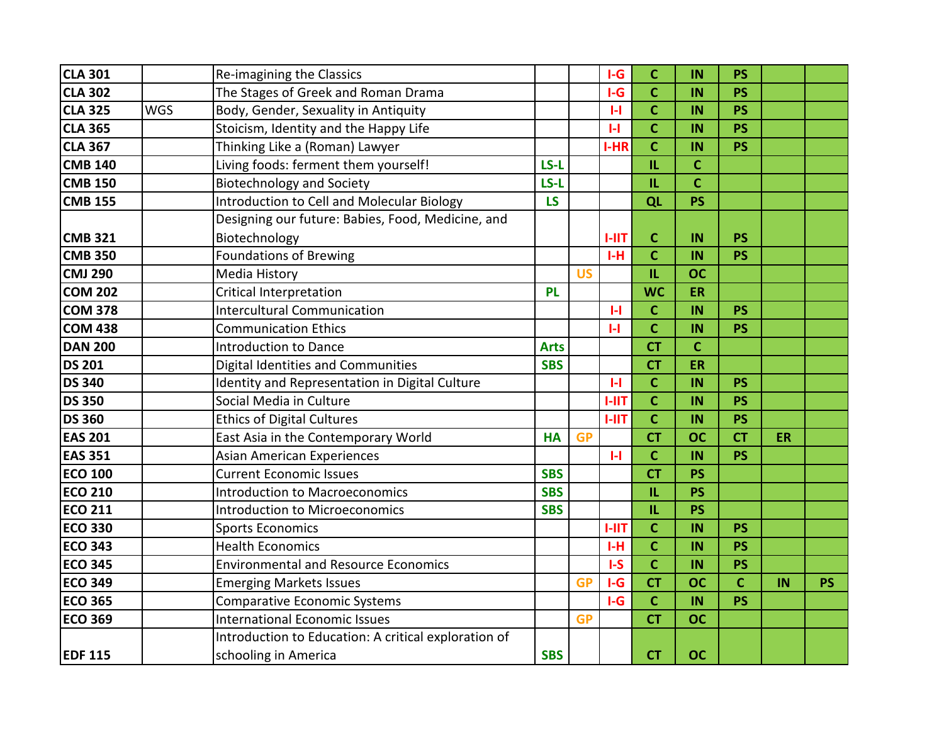| <b>CLA 301</b> |            | Re-imagining the Classics                            |             |           | $I-G$        | $\mathbf{C}$ | IN          | <b>PS</b>    |    |           |
|----------------|------------|------------------------------------------------------|-------------|-----------|--------------|--------------|-------------|--------------|----|-----------|
| <b>CLA 302</b> |            | The Stages of Greek and Roman Drama                  |             |           | $I-G$        | $\mathbf C$  | IN          | <b>PS</b>    |    |           |
| <b>CLA 325</b> | <b>WGS</b> | Body, Gender, Sexuality in Antiquity                 |             |           | $\mathbf{H}$ | $\mathbf C$  | IN          | <b>PS</b>    |    |           |
| <b>CLA 365</b> |            | Stoicism, Identity and the Happy Life                |             |           | $\mathbf{L}$ | $\mathbf{C}$ | IN          | <b>PS</b>    |    |           |
| <b>CLA 367</b> |            | Thinking Like a (Roman) Lawyer                       |             |           | I-HR         | $\mathbf C$  | IN          | <b>PS</b>    |    |           |
| <b>CMB 140</b> |            | Living foods: ferment them yourself!                 | LS-L        |           |              | IL           | $\mathbf C$ |              |    |           |
| <b>CMB 150</b> |            | <b>Biotechnology and Society</b>                     | LS-L        |           |              | IL           | $\mathbf c$ |              |    |           |
| <b>CMB 155</b> |            | Introduction to Cell and Molecular Biology           | <b>LS</b>   |           |              | QL           | <b>PS</b>   |              |    |           |
|                |            | Designing our future: Babies, Food, Medicine, and    |             |           |              |              |             |              |    |           |
| <b>CMB 321</b> |            | Biotechnology                                        |             |           | $1 - 11T$    | $\mathbf{C}$ | IN          | <b>PS</b>    |    |           |
| <b>CMB 350</b> |            | <b>Foundations of Brewing</b>                        |             |           | $I-H$        | $\mathbf{C}$ | IN          | <b>PS</b>    |    |           |
| <b>CMJ 290</b> |            | Media History                                        |             | <b>US</b> |              | IL           | <b>OC</b>   |              |    |           |
| <b>COM 202</b> |            | <b>Critical Interpretation</b>                       | <b>PL</b>   |           |              | <b>WC</b>    | ER          |              |    |           |
| <b>COM 378</b> |            | <b>Intercultural Communication</b>                   |             |           | $\mathbf{H}$ | $\mathbf C$  | IN          | <b>PS</b>    |    |           |
| <b>COM 438</b> |            | <b>Communication Ethics</b>                          |             |           | $\mathbf{H}$ | $\mathbf c$  | IN          | <b>PS</b>    |    |           |
| <b>DAN 200</b> |            | <b>Introduction to Dance</b>                         | <b>Arts</b> |           |              | <b>CT</b>    | $\mathbf C$ |              |    |           |
| <b>DS 201</b>  |            | Digital Identities and Communities                   | <b>SBS</b>  |           |              | <b>CT</b>    | ER          |              |    |           |
| <b>DS 340</b>  |            | Identity and Representation in Digital Culture       |             |           | $\mathbf{H}$ | $\mathbf{C}$ | IN          | <b>PS</b>    |    |           |
| <b>DS 350</b>  |            | Social Media in Culture                              |             |           | $1 - 11$     | $\mathbf c$  | IN          | <b>PS</b>    |    |           |
| <b>DS 360</b>  |            | <b>Ethics of Digital Cultures</b>                    |             |           | $1 - 11T$    | $\mathbf c$  | IN          | <b>PS</b>    |    |           |
| <b>EAS 201</b> |            | East Asia in the Contemporary World                  | <b>HA</b>   | <b>GP</b> |              | <b>CT</b>    | <b>OC</b>   | <b>CT</b>    | ER |           |
| <b>EAS 351</b> |            | <b>Asian American Experiences</b>                    |             |           | $\mathbf{L}$ | $\mathbf c$  | IN          | <b>PS</b>    |    |           |
| <b>ECO 100</b> |            | <b>Current Economic Issues</b>                       | <b>SBS</b>  |           |              | <b>CT</b>    | <b>PS</b>   |              |    |           |
| <b>ECO 210</b> |            | <b>Introduction to Macroeconomics</b>                | <b>SBS</b>  |           |              | $\mathbf{L}$ | <b>PS</b>   |              |    |           |
| <b>ECO 211</b> |            | <b>Introduction to Microeconomics</b>                | <b>SBS</b>  |           |              | IL.          | <b>PS</b>   |              |    |           |
| <b>ECO 330</b> |            | <b>Sports Economics</b>                              |             |           | $1 - 11T$    | $\mathbf C$  | IN          | <b>PS</b>    |    |           |
| <b>ECO 343</b> |            | <b>Health Economics</b>                              |             |           | $I-H$        | $\mathbf{C}$ | IN          | <b>PS</b>    |    |           |
| <b>ECO 345</b> |            | <b>Environmental and Resource Economics</b>          |             |           | $I-S$        | $\mathbf C$  | IN          | <b>PS</b>    |    |           |
| <b>ECO 349</b> |            | <b>Emerging Markets Issues</b>                       |             | <b>GP</b> | $I-G$        | <b>CT</b>    | <b>OC</b>   | $\mathbf{C}$ | IN | <b>PS</b> |
| <b>ECO 365</b> |            | <b>Comparative Economic Systems</b>                  |             |           | $I-G$        | $\mathbf c$  | IN          | <b>PS</b>    |    |           |
| <b>ECO 369</b> |            | <b>International Economic Issues</b>                 |             | <b>GP</b> |              | <b>CT</b>    | <b>OC</b>   |              |    |           |
|                |            | Introduction to Education: A critical exploration of |             |           |              |              |             |              |    |           |
| <b>EDF 115</b> |            | schooling in America                                 | <b>SBS</b>  |           |              | <b>CT</b>    | <b>OC</b>   |              |    |           |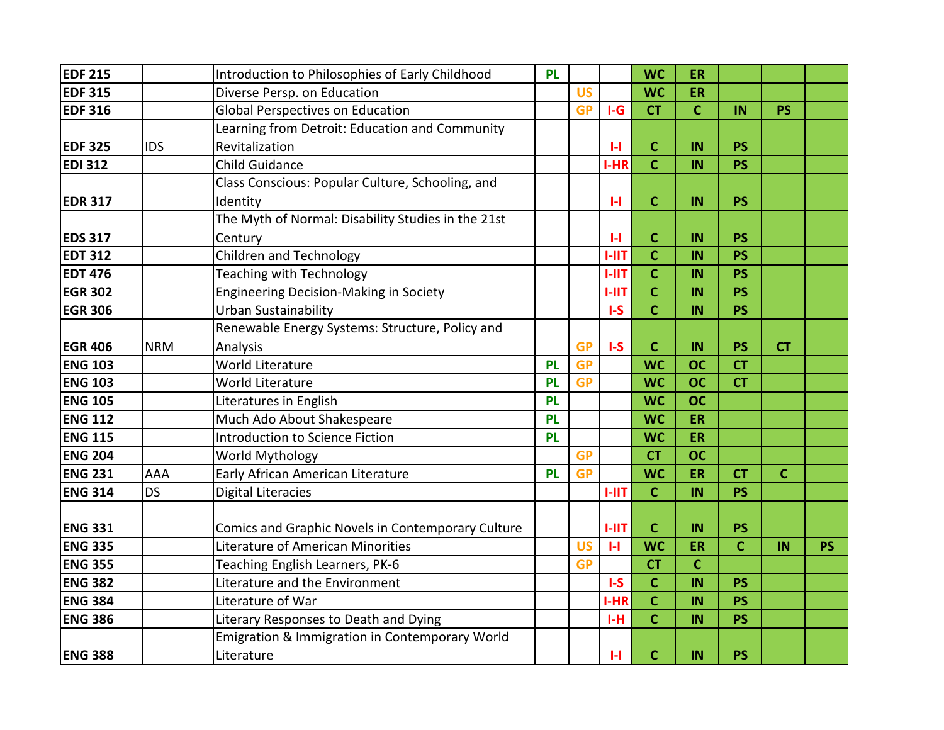| <b>EDF 215</b> |            | Introduction to Philosophies of Early Childhood    | <b>PL</b> |           |              | <b>WC</b>    | <b>ER</b>    |                |              |           |
|----------------|------------|----------------------------------------------------|-----------|-----------|--------------|--------------|--------------|----------------|--------------|-----------|
| <b>EDF 315</b> |            | Diverse Persp. on Education                        |           | <b>US</b> |              | <b>WC</b>    | <b>ER</b>    |                |              |           |
| <b>EDF 316</b> |            | <b>Global Perspectives on Education</b>            |           | <b>GP</b> | $I-G$        | <b>CT</b>    | $\mathbf{C}$ | IN             | <b>PS</b>    |           |
|                |            | Learning from Detroit: Education and Community     |           |           |              |              |              |                |              |           |
| <b>EDF 325</b> | <b>IDS</b> | Revitalization                                     |           |           | H            | $\mathbf C$  | IN           | <b>PS</b>      |              |           |
| <b>EDI 312</b> |            | <b>Child Guidance</b>                              |           |           | I-HR         | $\mathbf{C}$ | IN           | <b>PS</b>      |              |           |
|                |            | Class Conscious: Popular Culture, Schooling, and   |           |           |              |              |              |                |              |           |
| <b>EDR 317</b> |            | Identity                                           |           |           | $\mathbf{L}$ | $\mathbf{C}$ | IN           | <b>PS</b>      |              |           |
|                |            | The Myth of Normal: Disability Studies in the 21st |           |           |              |              |              |                |              |           |
| <b>EDS 317</b> |            | Century                                            |           |           | $\mathbf{H}$ | $\mathbf C$  | IN           | <b>PS</b>      |              |           |
| <b>EDT 312</b> |            | <b>Children and Technology</b>                     |           |           | $1 - 11T$    | $\mathbf{C}$ | IN           | <b>PS</b>      |              |           |
| <b>EDT 476</b> |            | <b>Teaching with Technology</b>                    |           |           | $1 - 11T$    | $\mathbf{C}$ | IN           | <b>PS</b>      |              |           |
| <b>EGR 302</b> |            | <b>Engineering Decision-Making in Society</b>      |           |           | <b>I-IIT</b> | $\mathbf{C}$ | IN           | <b>PS</b>      |              |           |
| <b>EGR 306</b> |            | <b>Urban Sustainability</b>                        |           |           | $I-S$        | $\mathsf{C}$ | IN           | <b>PS</b>      |              |           |
|                |            | Renewable Energy Systems: Structure, Policy and    |           |           |              |              |              |                |              |           |
| <b>EGR 406</b> | <b>NRM</b> | Analysis                                           |           | <b>GP</b> | $I-S$        | $\mathsf{C}$ | IN           | <b>PS</b>      | <b>CT</b>    |           |
| <b>ENG 103</b> |            | <b>World Literature</b>                            | <b>PL</b> | <b>GP</b> |              | <b>WC</b>    | <b>OC</b>    | <b>CT</b>      |              |           |
| <b>ENG 103</b> |            | World Literature                                   | <b>PL</b> | <b>GP</b> |              | <b>WC</b>    | <b>OC</b>    | <b>CT</b>      |              |           |
| <b>ENG 105</b> |            | Literatures in English                             | <b>PL</b> |           |              | <b>WC</b>    | <b>OC</b>    |                |              |           |
| <b>ENG 112</b> |            | Much Ado About Shakespeare                         | <b>PL</b> |           |              | <b>WC</b>    | ER           |                |              |           |
| <b>ENG 115</b> |            | Introduction to Science Fiction                    | <b>PL</b> |           |              | <b>WC</b>    | ER           |                |              |           |
| <b>ENG 204</b> |            | World Mythology                                    |           | <b>GP</b> |              | <b>CT</b>    | <b>OC</b>    |                |              |           |
| <b>ENG 231</b> | AAA        | Early African American Literature                  | <b>PL</b> | <b>GP</b> |              | <b>WC</b>    | ER           | <b>CT</b>      | $\mathbf{C}$ |           |
| <b>ENG 314</b> | <b>DS</b>  | <b>Digital Literacies</b>                          |           |           | $1 - 11T$    | $\mathbf C$  | IN           | <b>PS</b>      |              |           |
|                |            |                                                    |           |           |              |              |              |                |              |           |
| <b>ENG 331</b> |            | Comics and Graphic Novels in Contemporary Culture  |           |           | $1-11T$      | $\mathbf C$  | IN           | <b>PS</b>      |              |           |
| <b>ENG 335</b> |            | Literature of American Minorities                  |           | <b>US</b> | $\mathbf{H}$ | <b>WC</b>    | <b>ER</b>    | $\overline{c}$ | IN           | <b>PS</b> |
| <b>ENG 355</b> |            | Teaching English Learners, PK-6                    |           | <b>GP</b> |              | <b>CT</b>    | $\mathbf C$  |                |              |           |
| <b>ENG 382</b> |            | Literature and the Environment                     |           |           | $I-S$        | $\mathbf{C}$ | IN           | <b>PS</b>      |              |           |
| <b>ENG 384</b> |            | Literature of War                                  |           |           | I-HR         | $\mathsf{C}$ | IN           | <b>PS</b>      |              |           |
| <b>ENG 386</b> |            | Literary Responses to Death and Dying              |           |           | $I-H$        | $\mathbf C$  | IN           | <b>PS</b>      |              |           |
|                |            | Emigration & Immigration in Contemporary World     |           |           |              |              |              |                |              |           |
| <b>ENG 388</b> |            | Literature                                         |           |           | $\mathbf{H}$ | $\mathbf c$  | IN           | <b>PS</b>      |              |           |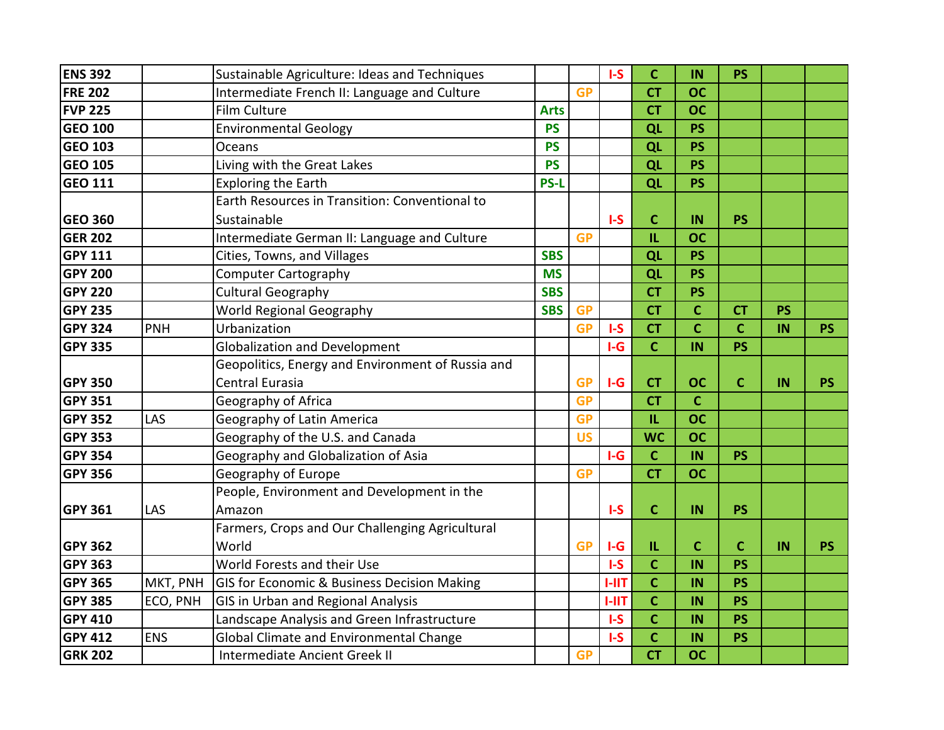| <b>ENS 392</b> |            | Sustainable Agriculture: Ideas and Techniques     |             |           | $I-S$   | $\mathbf C$  | IN             | <b>PS</b>      |           |           |
|----------------|------------|---------------------------------------------------|-------------|-----------|---------|--------------|----------------|----------------|-----------|-----------|
| <b>FRE 202</b> |            | Intermediate French II: Language and Culture      |             | <b>GP</b> |         | <b>CT</b>    | <b>OC</b>      |                |           |           |
| <b>FVP 225</b> |            | Film Culture                                      | <b>Arts</b> |           |         | <b>CT</b>    | <b>OC</b>      |                |           |           |
| <b>GEO 100</b> |            | <b>Environmental Geology</b>                      | <b>PS</b>   |           |         | QL           | <b>PS</b>      |                |           |           |
| <b>GEO 103</b> |            | Oceans                                            | <b>PS</b>   |           |         | QL           | <b>PS</b>      |                |           |           |
| <b>GEO 105</b> |            | Living with the Great Lakes                       | <b>PS</b>   |           |         | QL           | <b>PS</b>      |                |           |           |
| <b>GEO 111</b> |            | <b>Exploring the Earth</b>                        | <b>PS-L</b> |           |         | QL           | <b>PS</b>      |                |           |           |
|                |            | Earth Resources in Transition: Conventional to    |             |           |         |              |                |                |           |           |
| <b>GEO 360</b> |            | Sustainable                                       |             |           | $I-S$   | $\mathbf{C}$ | IN             | <b>PS</b>      |           |           |
| <b>GER 202</b> |            | Intermediate German II: Language and Culture      |             | <b>GP</b> |         | IL.          | <b>OC</b>      |                |           |           |
| <b>GPY 111</b> |            | Cities, Towns, and Villages                       | <b>SBS</b>  |           |         | QL           | <b>PS</b>      |                |           |           |
| <b>GPY 200</b> |            | <b>Computer Cartography</b>                       | <b>MS</b>   |           |         | QL           | <b>PS</b>      |                |           |           |
| <b>GPY 220</b> |            | <b>Cultural Geography</b>                         | <b>SBS</b>  |           |         | <b>CT</b>    | <b>PS</b>      |                |           |           |
| <b>GPY 235</b> |            | World Regional Geography                          | <b>SBS</b>  | <b>GP</b> |         | <b>CT</b>    | $\mathbf C$    | <b>CT</b>      | <b>PS</b> |           |
| <b>GPY 324</b> | <b>PNH</b> | Urbanization                                      |             | <b>GP</b> | $I-S$   | <b>CT</b>    | $\overline{c}$ | $\overline{c}$ | IN        | <b>PS</b> |
| <b>GPY 335</b> |            | <b>Globalization and Development</b>              |             |           | $I-G$   | $\mathbf C$  | IN             | <b>PS</b>      |           |           |
|                |            | Geopolitics, Energy and Environment of Russia and |             |           |         |              |                |                |           |           |
| <b>GPY 350</b> |            | Central Eurasia                                   |             | <b>GP</b> | $I-G$   | <b>CT</b>    | <b>OC</b>      | $\mathbf c$    | IN        | <b>PS</b> |
| <b>GPY 351</b> |            | Geography of Africa                               |             | <b>GP</b> |         | <b>CT</b>    | $\mathbf{C}$   |                |           |           |
| <b>GPY 352</b> | LAS        | Geography of Latin America                        |             | <b>GP</b> |         | IL.          | <b>OC</b>      |                |           |           |
| <b>GPY 353</b> |            | Geography of the U.S. and Canada                  |             | <b>US</b> |         | <b>WC</b>    | <b>OC</b>      |                |           |           |
| <b>GPY 354</b> |            | Geography and Globalization of Asia               |             |           | $I-G$   | $\mathbf{C}$ | IN             | <b>PS</b>      |           |           |
| <b>GPY 356</b> |            | Geography of Europe                               |             | <b>GP</b> |         | <b>CT</b>    | <b>OC</b>      |                |           |           |
|                |            | People, Environment and Development in the        |             |           |         |              |                |                |           |           |
| <b>GPY 361</b> | LAS        | Amazon                                            |             |           | $I-S$   | $\mathbf C$  | IN             | <b>PS</b>      |           |           |
|                |            | Farmers, Crops and Our Challenging Agricultural   |             |           |         |              |                |                |           |           |
| <b>GPY 362</b> |            | World                                             |             | <b>GP</b> | $I-G$   | IL.          | $\mathbf C$    | C              | IN        | <b>PS</b> |
| <b>GPY 363</b> |            | World Forests and their Use                       |             |           | $I-S$   | $\mathbf C$  | IN             | <b>PS</b>      |           |           |
| <b>GPY 365</b> | MKT, PNH   | GIS for Economic & Business Decision Making       |             |           | $I-III$ | $\mathbf{C}$ | IN             | <b>PS</b>      |           |           |
| <b>GPY 385</b> | ECO, PNH   | GIS in Urban and Regional Analysis                |             |           | $I-III$ | $\mathsf{C}$ | IN             | <b>PS</b>      |           |           |
| <b>GPY 410</b> |            | Landscape Analysis and Green Infrastructure       |             |           | $I-S$   | $\mathbf C$  | IN             | <b>PS</b>      |           |           |
| <b>GPY 412</b> | <b>ENS</b> | Global Climate and Environmental Change           |             |           | $I-S$   | $\mathsf{C}$ | IN             | <b>PS</b>      |           |           |
| <b>GRK 202</b> |            | Intermediate Ancient Greek II                     |             | <b>GP</b> |         | <b>CT</b>    | <b>OC</b>      |                |           |           |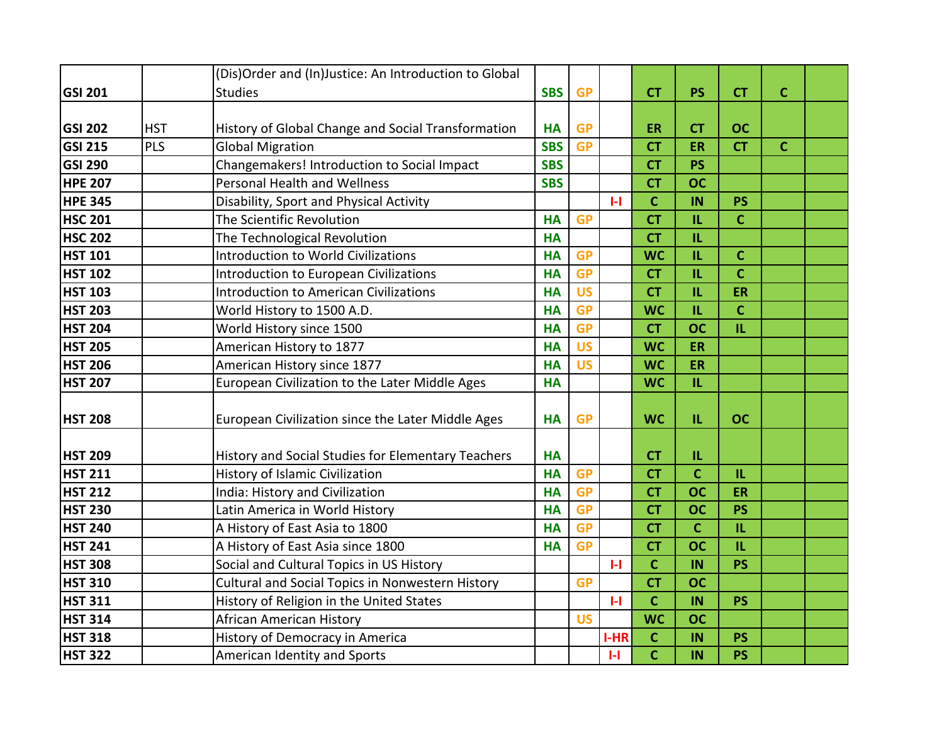|                |            | (Dis)Order and (In)Justice: An Introduction to Global |            |           |              |              |                |              |             |  |
|----------------|------------|-------------------------------------------------------|------------|-----------|--------------|--------------|----------------|--------------|-------------|--|
| <b>GSI 201</b> |            | <b>Studies</b>                                        | <b>SBS</b> | <b>GP</b> |              | <b>CT</b>    | <b>PS</b>      | <b>CT</b>    | $\mathbf C$ |  |
|                |            |                                                       |            |           |              |              |                |              |             |  |
| <b>GSI 202</b> | <b>HST</b> | History of Global Change and Social Transformation    | <b>HA</b>  | <b>GP</b> |              | <b>ER</b>    | <b>CT</b>      | <b>OC</b>    |             |  |
| <b>GSI 215</b> | <b>PLS</b> | <b>Global Migration</b>                               | <b>SBS</b> | <b>GP</b> |              | <b>CT</b>    | ER             | <b>CT</b>    | $\mathbf C$ |  |
| <b>GSI 290</b> |            | Changemakers! Introduction to Social Impact           | <b>SBS</b> |           |              | <b>CT</b>    | <b>PS</b>      |              |             |  |
| <b>HPE 207</b> |            | <b>Personal Health and Wellness</b>                   | <b>SBS</b> |           |              | <b>CT</b>    | <b>OC</b>      |              |             |  |
| <b>HPE 345</b> |            | Disability, Sport and Physical Activity               |            |           | $\mathbf{H}$ | $\mathbf C$  | IN             | <b>PS</b>    |             |  |
| <b>HSC 201</b> |            | The Scientific Revolution                             | <b>HA</b>  | <b>GP</b> |              | <b>CT</b>    | $\mathbf{L}$   | $\mathbf c$  |             |  |
| <b>HSC 202</b> |            | The Technological Revolution                          | <b>HA</b>  |           |              | <b>CT</b>    | IL             |              |             |  |
| <b>HST 101</b> |            | <b>Introduction to World Civilizations</b>            | <b>HA</b>  | <b>GP</b> |              | <b>WC</b>    | $\mathbf{L}$   | $\mathbf c$  |             |  |
| <b>HST 102</b> |            | <b>Introduction to European Civilizations</b>         | <b>HA</b>  | <b>GP</b> |              | <b>CT</b>    | $\mathbf{L}$   | $\mathbf c$  |             |  |
| <b>HST 103</b> |            | <b>Introduction to American Civilizations</b>         | <b>HA</b>  | <b>US</b> |              | <b>CT</b>    | IL             | <b>ER</b>    |             |  |
| <b>HST 203</b> |            | World History to 1500 A.D.                            | <b>HA</b>  | <b>GP</b> |              | <b>WC</b>    | IL.            | $\mathbf c$  |             |  |
| <b>HST 204</b> |            | World History since 1500                              | <b>HA</b>  | <b>GP</b> |              | <b>CT</b>    | <b>OC</b>      | IL.          |             |  |
| <b>HST 205</b> |            | American History to 1877                              | <b>HA</b>  | <b>US</b> |              | <b>WC</b>    | ER             |              |             |  |
| <b>HST 206</b> |            | American History since 1877                           | <b>HA</b>  | <b>US</b> |              | <b>WC</b>    | ER             |              |             |  |
| <b>HST 207</b> |            | European Civilization to the Later Middle Ages        | <b>HA</b>  |           |              | <b>WC</b>    | IL.            |              |             |  |
|                |            |                                                       |            |           |              |              |                |              |             |  |
| <b>HST 208</b> |            | European Civilization since the Later Middle Ages     | <b>HA</b>  | <b>GP</b> |              | <b>WC</b>    | IL             | <b>OC</b>    |             |  |
|                |            |                                                       |            |           |              |              |                |              |             |  |
| <b>HST 209</b> |            | History and Social Studies for Elementary Teachers    | <b>HA</b>  |           |              | <b>CT</b>    | $\mathbf{L}$   |              |             |  |
| <b>HST 211</b> |            | History of Islamic Civilization                       | <b>HA</b>  | <b>GP</b> |              | <b>CT</b>    | $\overline{c}$ | $\mathbf{L}$ |             |  |
| <b>HST 212</b> |            | India: History and Civilization                       | <b>HA</b>  | <b>GP</b> |              | <b>CT</b>    | <b>OC</b>      | ER           |             |  |
| <b>HST 230</b> |            | Latin America in World History                        | <b>HA</b>  | <b>GP</b> |              | <b>CT</b>    | <b>OC</b>      | <b>PS</b>    |             |  |
| <b>HST 240</b> |            | A History of East Asia to 1800                        | <b>HA</b>  | <b>GP</b> |              | <b>CT</b>    | $\mathbf c$    | IL.          |             |  |
| <b>HST 241</b> |            | A History of East Asia since 1800                     | <b>HA</b>  | <b>GP</b> |              | <b>CT</b>    | <b>OC</b>      | IL.          |             |  |
| <b>HST 308</b> |            | Social and Cultural Topics in US History              |            |           | $\mathbf{H}$ | $\mathbf C$  | IN             | PS           |             |  |
| <b>HST 310</b> |            | Cultural and Social Topics in Nonwestern History      |            | <b>GP</b> |              | <b>CT</b>    | <b>OC</b>      |              |             |  |
| <b>HST 311</b> |            | History of Religion in the United States              |            |           | $\mathbf{H}$ | $\mathsf{C}$ | IN             | <b>PS</b>    |             |  |
| <b>HST 314</b> |            | African American History                              |            | <b>US</b> |              | <b>WC</b>    | <b>OC</b>      |              |             |  |
| <b>HST 318</b> |            | History of Democracy in America                       |            |           | I-HR         | $\mathbf C$  | IN             | <b>PS</b>    |             |  |
| <b>HST 322</b> |            | American Identity and Sports                          |            |           | $\mathbf{H}$ | $\mathbf c$  | IN             | <b>PS</b>    |             |  |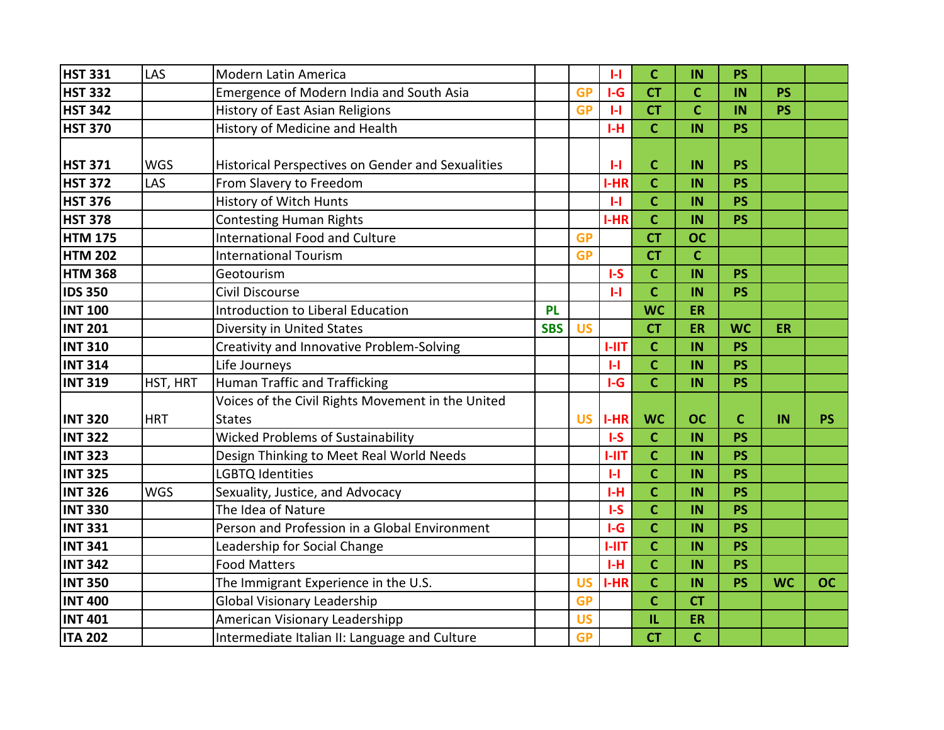| <b>HST 331</b> | LAS        | <b>Modern Latin America</b>                              |            |           | $\mathsf{L}$ | $\mathbf c$    | IN           | <b>PS</b> |           |           |
|----------------|------------|----------------------------------------------------------|------------|-----------|--------------|----------------|--------------|-----------|-----------|-----------|
| <b>HST 332</b> |            | Emergence of Modern India and South Asia                 |            | <b>GP</b> | $I-G$        | <b>CT</b>      | $\mathbf C$  | IN        | <b>PS</b> |           |
| <b>HST 342</b> |            | History of East Asian Religions                          |            | <b>GP</b> | $\mathbf{H}$ | <b>CT</b>      | $\mathbf C$  | IN        | <b>PS</b> |           |
| <b>HST 370</b> |            | History of Medicine and Health                           |            |           | $I-H$        | $\mathbf{C}$   | IN           | <b>PS</b> |           |           |
|                |            |                                                          |            |           |              |                |              |           |           |           |
| <b>HST 371</b> | <b>WGS</b> | <b>Historical Perspectives on Gender and Sexualities</b> |            |           | H            | $\mathbf C$    | IN           | <b>PS</b> |           |           |
| <b>HST 372</b> | LAS        | From Slavery to Freedom                                  |            |           | I-HR         | $\mathbf c$    | IN           | <b>PS</b> |           |           |
| <b>HST 376</b> |            | History of Witch Hunts                                   |            |           | $\mathbf{H}$ | $\mathbf C$    | IN           | <b>PS</b> |           |           |
| <b>HST 378</b> |            | <b>Contesting Human Rights</b>                           |            |           | I-HR         | $\mathbf{C}$   | IN           | <b>PS</b> |           |           |
| <b>HTM 175</b> |            | <b>International Food and Culture</b>                    |            | <b>GP</b> |              | <b>CT</b>      | <b>OC</b>    |           |           |           |
| <b>HTM 202</b> |            | <b>International Tourism</b>                             |            | <b>GP</b> |              | <b>CT</b>      | $\mathbf{C}$ |           |           |           |
| <b>HTM 368</b> |            | Geotourism                                               |            |           | $I-S$        | $\mathbf{C}$   | IN           | <b>PS</b> |           |           |
| <b>IDS 350</b> |            | Civil Discourse                                          |            |           | H            | $\mathbf{C}$   | IN           | <b>PS</b> |           |           |
| <b>INT 100</b> |            | <b>Introduction to Liberal Education</b>                 | <b>PL</b>  |           |              | <b>WC</b>      | ER           |           |           |           |
| <b>INT 201</b> |            | Diversity in United States                               | <b>SBS</b> | <b>US</b> |              | <b>CT</b>      | ER           | <b>WC</b> | <b>ER</b> |           |
| <b>INT 310</b> |            | Creativity and Innovative Problem-Solving                |            |           | $1 - 11T$    | $\mathbf C$    | IN           | <b>PS</b> |           |           |
| <b>INT 314</b> |            | Life Journeys                                            |            |           | $\mathbf{H}$ | $\mathbf C$    | IN           | <b>PS</b> |           |           |
| <b>INT 319</b> | HST, HRT   | <b>Human Traffic and Trafficking</b>                     |            |           | $I-G$        | $\mathbf{C}$   | IN           | <b>PS</b> |           |           |
|                |            | Voices of the Civil Rights Movement in the United        |            |           |              |                |              |           |           |           |
| <b>INT 320</b> | <b>HRT</b> | <b>States</b>                                            |            | <b>US</b> | $I-HR$       | <b>WC</b>      | <b>OC</b>    | C         | IN        | <b>PS</b> |
| <b>INT 322</b> |            | <b>Wicked Problems of Sustainability</b>                 |            |           | $I-S$        | $\mathbf{C}$   | IN           | <b>PS</b> |           |           |
| <b>INT 323</b> |            | Design Thinking to Meet Real World Needs                 |            |           | <b>I-IIT</b> | $\mathbf{C}$   | IN           | <b>PS</b> |           |           |
| <b>INT 325</b> |            | <b>LGBTQ Identities</b>                                  |            |           | $\mathbf{H}$ | $\mathbf{C}$   | IN           | <b>PS</b> |           |           |
| <b>INT 326</b> | <b>WGS</b> | Sexuality, Justice, and Advocacy                         |            |           | $I-H$        | $\mathbf{C}$   | IN           | <b>PS</b> |           |           |
| <b>INT 330</b> |            | The Idea of Nature                                       |            |           | $I-S$        | $\mathbf{C}$   | IN           | <b>PS</b> |           |           |
| <b>INT 331</b> |            | Person and Profession in a Global Environment            |            |           | $I-G$        | $\mathbf{C}$   | IN           | <b>PS</b> |           |           |
| <b>INT 341</b> |            | Leadership for Social Change                             |            |           | <b>I-IIT</b> | $\mathbf{C}$   | IN           | <b>PS</b> |           |           |
| <b>INT 342</b> |            | <b>Food Matters</b>                                      |            |           | $I-H$        | $\mathbf C$    | IN           | <b>PS</b> |           |           |
| <b>INT 350</b> |            | The Immigrant Experience in the U.S.                     |            | <b>US</b> | I-HR         | $\mathbf{C}$   | IN           | <b>PS</b> | <b>WC</b> | <b>OC</b> |
| <b>INT 400</b> |            | <b>Global Visionary Leadership</b>                       |            | <b>GP</b> |              | $\overline{C}$ | <b>CT</b>    |           |           |           |
| <b>INT 401</b> |            | American Visionary Leadershipp                           |            | <b>US</b> |              | IL.            | ER           |           |           |           |
| <b>ITA 202</b> |            | Intermediate Italian II: Language and Culture            |            | <b>GP</b> |              | <b>CT</b>      | $\mathbf c$  |           |           |           |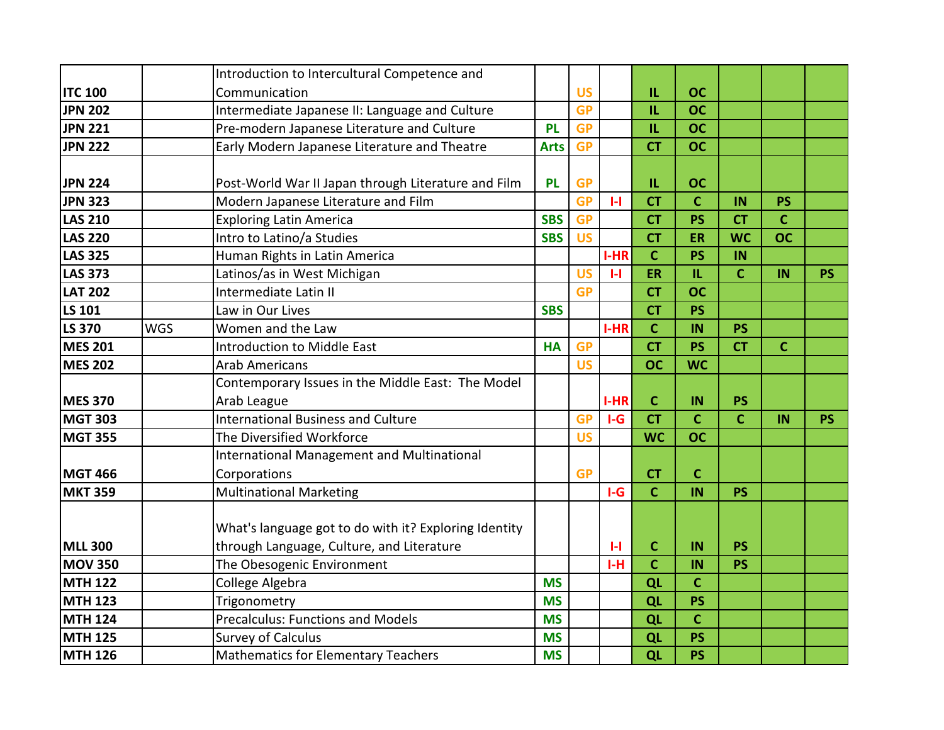|                |            | Introduction to Intercultural Competence and          |             |           |              |                |             |                |              |           |
|----------------|------------|-------------------------------------------------------|-------------|-----------|--------------|----------------|-------------|----------------|--------------|-----------|
| <b>ITC 100</b> |            | Communication                                         |             | <b>US</b> |              | IL.            | <b>OC</b>   |                |              |           |
| <b>JPN 202</b> |            | Intermediate Japanese II: Language and Culture        |             | <b>GP</b> |              | IL             | <b>OC</b>   |                |              |           |
| <b>JPN 221</b> |            | Pre-modern Japanese Literature and Culture            | <b>PL</b>   | <b>GP</b> |              | IL             | <b>OC</b>   |                |              |           |
| <b>JPN 222</b> |            | Early Modern Japanese Literature and Theatre          | <b>Arts</b> | <b>GP</b> |              | <b>CT</b>      | <b>OC</b>   |                |              |           |
|                |            |                                                       |             |           |              |                |             |                |              |           |
| <b>JPN 224</b> |            | Post-World War II Japan through Literature and Film   | <b>PL</b>   | <b>GP</b> |              | IL             | <b>OC</b>   |                |              |           |
| <b>JPN 323</b> |            | Modern Japanese Literature and Film                   |             | <b>GP</b> | $\mathbf{H}$ | <b>CT</b>      | $\mathbf C$ | IN             | <b>PS</b>    |           |
| <b>LAS 210</b> |            | <b>Exploring Latin America</b>                        | <b>SBS</b>  | <b>GP</b> |              | <b>CT</b>      | <b>PS</b>   | <b>CT</b>      | $\mathbf C$  |           |
| <b>LAS 220</b> |            | Intro to Latino/a Studies                             | <b>SBS</b>  | <b>US</b> |              | <b>CT</b>      | <b>ER</b>   | <b>WC</b>      | <b>OC</b>    |           |
| <b>LAS 325</b> |            | Human Rights in Latin America                         |             |           | I-HR         | $\mathsf{C}$   | <b>PS</b>   | IN             |              |           |
| <b>LAS 373</b> |            | Latinos/as in West Michigan                           |             | <b>US</b> | $\mathbf{H}$ | ER             | IL.         | $\mathbf c$    | IN           | <b>PS</b> |
| <b>LAT 202</b> |            | Intermediate Latin II                                 |             | <b>GP</b> |              | <b>CT</b>      | <b>OC</b>   |                |              |           |
| LS 101         |            | Law in Our Lives                                      | <b>SBS</b>  |           |              | <b>CT</b>      | <b>PS</b>   |                |              |           |
| <b>LS 370</b>  | <b>WGS</b> | Women and the Law                                     |             |           | <b>I-HR</b>  | $\overline{C}$ | IN          | <b>PS</b>      |              |           |
| <b>MES 201</b> |            | <b>Introduction to Middle East</b>                    | <b>HA</b>   | <b>GP</b> |              | <b>CT</b>      | <b>PS</b>   | <b>CT</b>      | $\mathbf{C}$ |           |
| <b>MES 202</b> |            | <b>Arab Americans</b>                                 |             | <b>US</b> |              | <b>OC</b>      | <b>WC</b>   |                |              |           |
|                |            | Contemporary Issues in the Middle East: The Model     |             |           |              |                |             |                |              |           |
| <b>MES 370</b> |            | Arab League                                           |             |           | $I-HR$       | $\mathbf c$    | IN          | PS             |              |           |
| <b>MGT 303</b> |            | <b>International Business and Culture</b>             |             | <b>GP</b> | $I-G$        | <b>CT</b>      | $\mathbf C$ | $\overline{c}$ | IN           | <b>PS</b> |
| <b>MGT 355</b> |            | The Diversified Workforce                             |             | <b>US</b> |              | <b>WC</b>      | <b>OC</b>   |                |              |           |
|                |            | <b>International Management and Multinational</b>     |             |           |              |                |             |                |              |           |
| <b>MGT 466</b> |            | Corporations                                          |             | <b>GP</b> |              | <b>CT</b>      | $\mathbf C$ |                |              |           |
| <b>MKT 359</b> |            | <b>Multinational Marketing</b>                        |             |           | $I-G$        | $\mathbf{C}$   | IN          | <b>PS</b>      |              |           |
|                |            |                                                       |             |           |              |                |             |                |              |           |
|                |            | What's language got to do with it? Exploring Identity |             |           |              |                |             |                |              |           |
| <b>MLL 300</b> |            | through Language, Culture, and Literature             |             |           | $\mathbf{L}$ | $\mathbf C$    | IN          | <b>PS</b>      |              |           |
| <b>MOV 350</b> |            | The Obesogenic Environment                            |             |           | $I-H$        | $\mathbf c$    | IN          | <b>PS</b>      |              |           |
| <b>MTH 122</b> |            | College Algebra                                       | <b>MS</b>   |           |              | QL             | $\mathbf C$ |                |              |           |
| <b>MTH 123</b> |            | Trigonometry                                          | <b>MS</b>   |           |              | QL             | <b>PS</b>   |                |              |           |
| <b>MTH 124</b> |            | <b>Precalculus: Functions and Models</b>              | <b>MS</b>   |           |              | QL             | $\mathbf C$ |                |              |           |
| <b>MTH 125</b> |            | <b>Survey of Calculus</b>                             | <b>MS</b>   |           |              | QL             | <b>PS</b>   |                |              |           |
| <b>MTH 126</b> |            | <b>Mathematics for Elementary Teachers</b>            | <b>MS</b>   |           |              | QL             | <b>PS</b>   |                |              |           |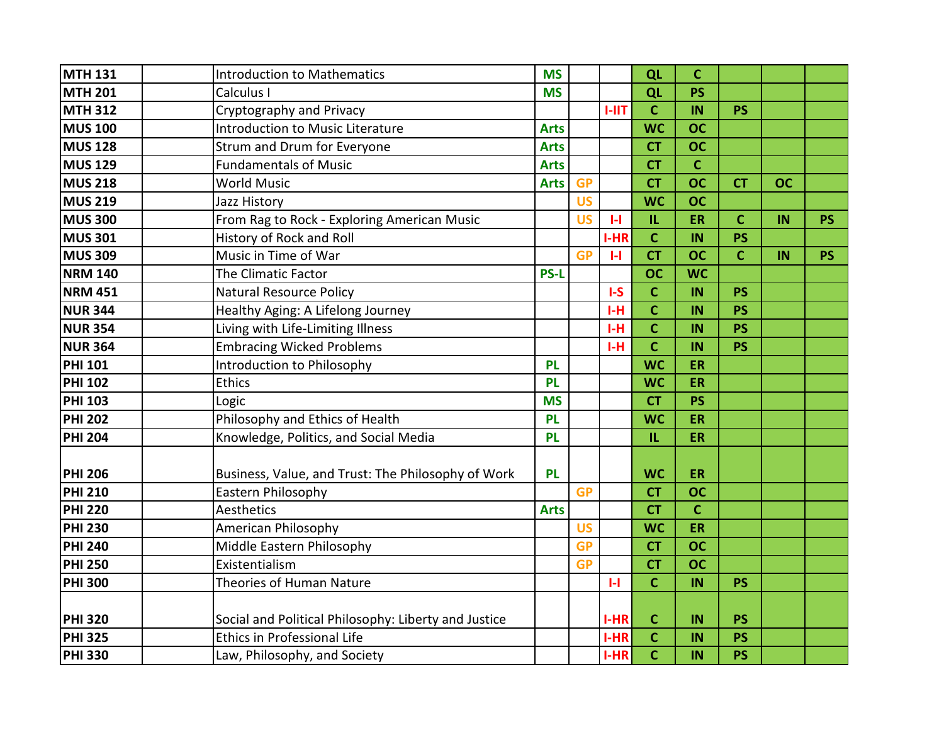| <b>MTH 131</b> | <b>Introduction to Mathematics</b>                   | <b>MS</b>   |           |              | QL             | $\mathbf c$ |              |           |           |
|----------------|------------------------------------------------------|-------------|-----------|--------------|----------------|-------------|--------------|-----------|-----------|
| <b>MTH 201</b> | Calculus I                                           | <b>MS</b>   |           |              | QL             | <b>PS</b>   |              |           |           |
| <b>MTH 312</b> | Cryptography and Privacy                             |             |           | <b>I-IIT</b> | $\mathbf C$    | IN          | <b>PS</b>    |           |           |
| <b>MUS 100</b> | <b>Introduction to Music Literature</b>              | <b>Arts</b> |           |              | <b>WC</b>      | <b>OC</b>   |              |           |           |
| <b>MUS 128</b> | Strum and Drum for Everyone                          | <b>Arts</b> |           |              | <b>CT</b>      | <b>OC</b>   |              |           |           |
| <b>MUS 129</b> | <b>Fundamentals of Music</b>                         | <b>Arts</b> |           |              | <b>CT</b>      | $\mathbf c$ |              |           |           |
| <b>MUS 218</b> | <b>World Music</b>                                   | <b>Arts</b> | <b>GP</b> |              | <b>CT</b>      | <b>OC</b>   | <b>CT</b>    | <b>OC</b> |           |
| <b>MUS 219</b> | Jazz History                                         |             | <b>US</b> |              | <b>WC</b>      | <b>OC</b>   |              |           |           |
| <b>MUS 300</b> | From Rag to Rock - Exploring American Music          |             | <b>US</b> | $\mathbf{H}$ | IL.            | <b>ER</b>   | $\mathbf c$  | IN        | <b>PS</b> |
| <b>MUS 301</b> | History of Rock and Roll                             |             |           | I-HR         | $\mathbf C$    | IN          | <b>PS</b>    |           |           |
| <b>MUS 309</b> | Music in Time of War                                 |             | <b>GP</b> | $\mathbf{H}$ | <b>CT</b>      | <b>OC</b>   | $\mathbf{C}$ | IN        | <b>PS</b> |
| <b>NRM 140</b> | The Climatic Factor                                  | <b>PS-L</b> |           |              | <b>OC</b>      | <b>WC</b>   |              |           |           |
| <b>NRM 451</b> | <b>Natural Resource Policy</b>                       |             |           | $I-S$        | $\mathbf C$    | IN          | <b>PS</b>    |           |           |
| <b>NUR 344</b> | Healthy Aging: A Lifelong Journey                    |             |           | $I-H$        | $\mathbf C$    | IN          | <b>PS</b>    |           |           |
| <b>NUR 354</b> | Living with Life-Limiting Illness                    |             |           | $I-H$        | $\mathbf c$    | IN          | <b>PS</b>    |           |           |
| <b>NUR 364</b> | <b>Embracing Wicked Problems</b>                     |             |           | $I-H$        | $\overline{c}$ | IN          | <b>PS</b>    |           |           |
| <b>PHI 101</b> | Introduction to Philosophy                           | <b>PL</b>   |           |              | <b>WC</b>      | <b>ER</b>   |              |           |           |
| <b>PHI 102</b> | <b>Ethics</b>                                        | <b>PL</b>   |           |              | <b>WC</b>      | <b>ER</b>   |              |           |           |
| <b>PHI 103</b> | Logic                                                | <b>MS</b>   |           |              | <b>CT</b>      | <b>PS</b>   |              |           |           |
| <b>PHI 202</b> | Philosophy and Ethics of Health                      | PL          |           |              | <b>WC</b>      | ER          |              |           |           |
| <b>PHI 204</b> | Knowledge, Politics, and Social Media                | <b>PL</b>   |           |              | IL.            | <b>ER</b>   |              |           |           |
|                |                                                      |             |           |              |                |             |              |           |           |
| <b>PHI 206</b> | Business, Value, and Trust: The Philosophy of Work   | <b>PL</b>   |           |              | <b>WC</b>      | <b>ER</b>   |              |           |           |
| <b>PHI 210</b> | Eastern Philosophy                                   |             | <b>GP</b> |              | <b>CT</b>      | <b>OC</b>   |              |           |           |
| <b>PHI 220</b> | Aesthetics                                           | <b>Arts</b> |           |              | <b>CT</b>      | $\mathbf C$ |              |           |           |
| <b>PHI 230</b> | American Philosophy                                  |             | <b>US</b> |              | <b>WC</b>      | ER          |              |           |           |
| <b>PHI 240</b> | Middle Eastern Philosophy                            |             | <b>GP</b> |              | <b>CT</b>      | <b>OC</b>   |              |           |           |
| <b>PHI 250</b> | Existentialism                                       |             | <b>GP</b> |              | <b>CT</b>      | <b>OC</b>   |              |           |           |
| <b>PHI 300</b> | Theories of Human Nature                             |             |           | $\mathbf{H}$ | $\mathbf C$    | IN          | <b>PS</b>    |           |           |
|                |                                                      |             |           |              |                |             |              |           |           |
| <b>PHI 320</b> | Social and Political Philosophy: Liberty and Justice |             |           | <b>I-HR</b>  | $\mathbf{C}$   | IN          | <b>PS</b>    |           |           |
| <b>PHI 325</b> | Ethics in Professional Life                          |             |           | $I-HR$       | $\mathbf C$    | IN          | <b>PS</b>    |           |           |
| <b>PHI 330</b> | Law, Philosophy, and Society                         |             |           | $I-HR$       | $\mathbf c$    | IN          | <b>PS</b>    |           |           |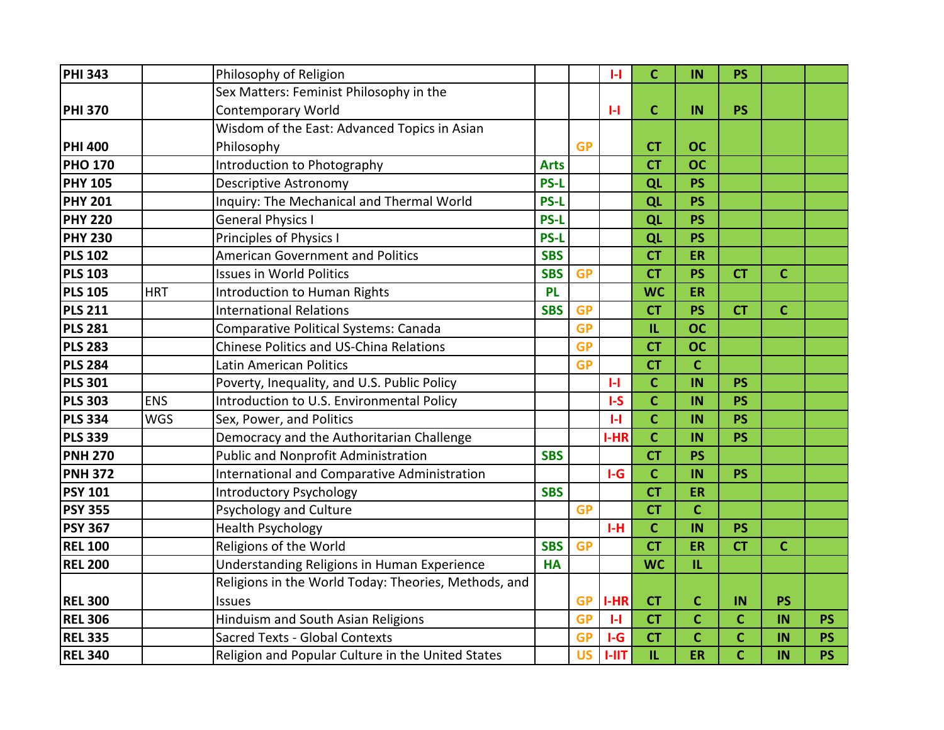| <b>PHI 343</b> |            | Philosophy of Religion                               |             |           | $\mathbf{H}$ | $\mathbf C$                       | IN             | <b>PS</b>   |              |           |
|----------------|------------|------------------------------------------------------|-------------|-----------|--------------|-----------------------------------|----------------|-------------|--------------|-----------|
|                |            | Sex Matters: Feminist Philosophy in the              |             |           |              |                                   |                |             |              |           |
| <b>PHI 370</b> |            | <b>Contemporary World</b>                            |             |           | $\mathbf{H}$ | $\mathbf C$                       | IN             | <b>PS</b>   |              |           |
|                |            | Wisdom of the East: Advanced Topics in Asian         |             |           |              |                                   |                |             |              |           |
| <b>PHI 400</b> |            | Philosophy                                           |             | <b>GP</b> |              | <b>CT</b>                         | <b>OC</b>      |             |              |           |
| <b>PHO 170</b> |            | <b>Introduction to Photography</b>                   | <b>Arts</b> |           |              | <b>CT</b>                         | <b>OC</b>      |             |              |           |
| <b>PHY 105</b> |            | <b>Descriptive Astronomy</b>                         | <b>PS-L</b> |           |              | QL                                | <b>PS</b>      |             |              |           |
| <b>PHY 201</b> |            | Inquiry: The Mechanical and Thermal World            | <b>PS-L</b> |           |              | QL                                | <b>PS</b>      |             |              |           |
| <b>PHY 220</b> |            | <b>General Physics I</b>                             | <b>PS-L</b> |           |              | QL                                | <b>PS</b>      |             |              |           |
| <b>PHY 230</b> |            | Principles of Physics I                              | <b>PS-L</b> |           |              | QL                                | <b>PS</b>      |             |              |           |
| <b>PLS 102</b> |            | <b>American Government and Politics</b>              | <b>SBS</b>  |           |              | <b>CT</b>                         | ER             |             |              |           |
| <b>PLS 103</b> |            | <b>Issues in World Politics</b>                      | <b>SBS</b>  | <b>GP</b> |              | <b>CT</b>                         | <b>PS</b>      | <b>CT</b>   | $\mathbf C$  |           |
| <b>PLS 105</b> | <b>HRT</b> | Introduction to Human Rights                         | <b>PL</b>   |           |              | <b>WC</b>                         | <b>ER</b>      |             |              |           |
| <b>PLS 211</b> |            | <b>International Relations</b>                       | <b>SBS</b>  | <b>GP</b> |              | <b>CT</b>                         | <b>PS</b>      | <b>CT</b>   | $\mathbf{C}$ |           |
| <b>PLS 281</b> |            | Comparative Political Systems: Canada                |             | <b>GP</b> |              | IL                                | <b>OC</b>      |             |              |           |
| <b>PLS 283</b> |            | Chinese Politics and US-China Relations              |             | <b>GP</b> |              | <b>CT</b>                         | <b>OC</b>      |             |              |           |
| <b>PLS 284</b> |            | Latin American Politics                              |             | <b>GP</b> |              | <b>CT</b>                         | $\mathbf c$    |             |              |           |
| <b>PLS 301</b> |            | Poverty, Inequality, and U.S. Public Policy          |             |           | $\mathbf{H}$ | $\mathbf C$                       | IN             | <b>PS</b>   |              |           |
| <b>PLS 303</b> | <b>ENS</b> | Introduction to U.S. Environmental Policy            |             |           | $I-S$        | $\mathbf C$                       | IN             | <b>PS</b>   |              |           |
| <b>PLS 334</b> | <b>WGS</b> | Sex, Power, and Politics                             |             |           | $\mathbf{H}$ | $\mathbf c$                       | IN             | <b>PS</b>   |              |           |
| <b>PLS 339</b> |            | Democracy and the Authoritarian Challenge            |             |           | $I-HR$       | $\mathbf C$                       | IN             | <b>PS</b>   |              |           |
| <b>PNH 270</b> |            | <b>Public and Nonprofit Administration</b>           | <b>SBS</b>  |           |              | <b>CT</b>                         | <b>PS</b>      |             |              |           |
| <b>PNH 372</b> |            | International and Comparative Administration         |             |           | $I-G$        | $\mathbf c$                       | IN             | <b>PS</b>   |              |           |
| <b>PSY 101</b> |            | <b>Introductory Psychology</b>                       | <b>SBS</b>  |           |              | $\overline{\mathsf{C}\mathsf{T}}$ | <b>ER</b>      |             |              |           |
| <b>PSY 355</b> |            | <b>Psychology and Culture</b>                        |             | <b>GP</b> |              | <b>CT</b>                         | $\mathbf C$    |             |              |           |
| <b>PSY 367</b> |            | <b>Health Psychology</b>                             |             |           | $I-H$        | $\mathbf c$                       | IN             | <b>PS</b>   |              |           |
| <b>REL 100</b> |            | Religions of the World                               | <b>SBS</b>  | <b>GP</b> |              | <b>CT</b>                         | ER             | <b>CT</b>   | $\mathbf C$  |           |
| <b>REL 200</b> |            | Understanding Religions in Human Experience          | <b>HA</b>   |           |              | <b>WC</b>                         | IL             |             |              |           |
|                |            | Religions in the World Today: Theories, Methods, and |             |           |              |                                   |                |             |              |           |
| <b>REL 300</b> |            | <b>Issues</b>                                        |             | <b>GP</b> | $I-HR$       | <b>CT</b>                         | $\mathbf c$    | IN          | <b>PS</b>    |           |
| <b>REL 306</b> |            | Hinduism and South Asian Religions                   |             | <b>GP</b> | $\mathbf{H}$ | <b>CT</b>                         | $\mathbf c$    | $\mathbf c$ | IN           | <b>PS</b> |
| <b>REL 335</b> |            | <b>Sacred Texts - Global Contexts</b>                |             | <b>GP</b> | $I-G$        | <b>CT</b>                         | $\overline{C}$ | $\mathbf C$ | IN           | <b>PS</b> |
| <b>REL 340</b> |            | Religion and Popular Culture in the United States    |             | <b>US</b> | <b>I-IIT</b> | IL                                | ER             | $\mathbf C$ | IN           | <b>PS</b> |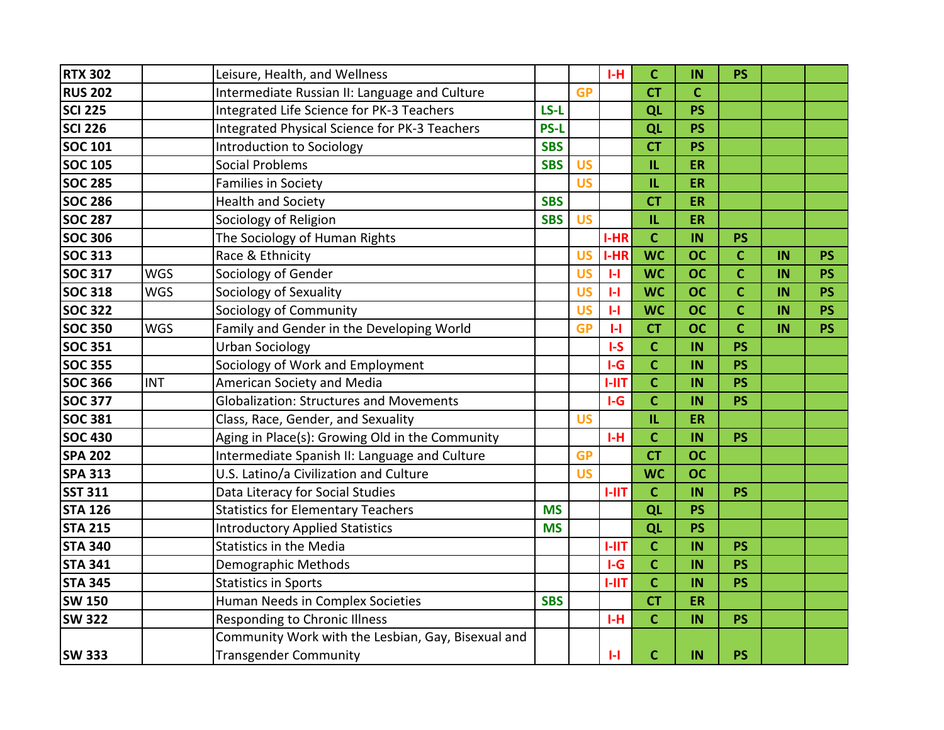| <b>RTX 302</b> |            | Leisure, Health, and Wellness                      |             |           | $I-H$        | $\mathbf C$  | IN          | <b>PS</b>      |    |           |
|----------------|------------|----------------------------------------------------|-------------|-----------|--------------|--------------|-------------|----------------|----|-----------|
| <b>RUS 202</b> |            | Intermediate Russian II: Language and Culture      |             | <b>GP</b> |              | <b>CT</b>    | $\mathbf C$ |                |    |           |
| <b>SCI 225</b> |            | Integrated Life Science for PK-3 Teachers          | LS-L        |           |              | QL           | <b>PS</b>   |                |    |           |
| <b>SCI 226</b> |            | Integrated Physical Science for PK-3 Teachers      | <b>PS-L</b> |           |              | QL           | <b>PS</b>   |                |    |           |
| <b>SOC 101</b> |            | Introduction to Sociology                          | <b>SBS</b>  |           |              | <b>CT</b>    | <b>PS</b>   |                |    |           |
| <b>SOC 105</b> |            | <b>Social Problems</b>                             | <b>SBS</b>  | <b>US</b> |              | IL           | ER          |                |    |           |
| <b>SOC 285</b> |            | <b>Families in Society</b>                         |             | <b>US</b> |              | IL           | ER          |                |    |           |
| <b>SOC 286</b> |            | <b>Health and Society</b>                          | <b>SBS</b>  |           |              | <b>CT</b>    | ER          |                |    |           |
| <b>SOC 287</b> |            | Sociology of Religion                              | <b>SBS</b>  | <b>US</b> |              | IL.          | <b>ER</b>   |                |    |           |
| <b>SOC 306</b> |            | The Sociology of Human Rights                      |             |           | I-HR         | $\mathbf{C}$ | IN          | <b>PS</b>      |    |           |
| <b>SOC 313</b> |            | Race & Ethnicity                                   |             | <b>US</b> | $I-HR$       | <b>WC</b>    | <b>OC</b>   | $\overline{c}$ | IN | <b>PS</b> |
| <b>SOC 317</b> | <b>WGS</b> | Sociology of Gender                                |             | <b>US</b> | $\mathbf{H}$ | <b>WC</b>    | <b>OC</b>   | $\mathbf c$    | IN | <b>PS</b> |
| <b>SOC 318</b> | <b>WGS</b> | Sociology of Sexuality                             |             | <b>US</b> | $\mathbf{H}$ | <b>WC</b>    | <b>OC</b>   | $\mathbf c$    | IN | <b>PS</b> |
| <b>SOC 322</b> |            | Sociology of Community                             |             | <b>US</b> | $\mathbf{H}$ | <b>WC</b>    | <b>OC</b>   | $\mathbf c$    | IN | <b>PS</b> |
| <b>SOC 350</b> | <b>WGS</b> | Family and Gender in the Developing World          |             | <b>GP</b> | $\mathbf{H}$ | <b>CT</b>    | <b>OC</b>   | $\overline{c}$ | IN | <b>PS</b> |
| <b>SOC 351</b> |            | <b>Urban Sociology</b>                             |             |           | $I-S$        | $\mathbf C$  | IN          | <b>PS</b>      |    |           |
| <b>SOC 355</b> |            | Sociology of Work and Employment                   |             |           | $I-G$        | $\mathbf{C}$ | IN          | <b>PS</b>      |    |           |
| <b>SOC 366</b> | <b>INT</b> | American Society and Media                         |             |           | $1-11T$      | $\mathbf c$  | IN          | <b>PS</b>      |    |           |
| <b>SOC 377</b> |            | <b>Globalization: Structures and Movements</b>     |             |           | $I-G$        | $\mathbf{C}$ | IN          | <b>PS</b>      |    |           |
| <b>SOC 381</b> |            | Class, Race, Gender, and Sexuality                 |             | <b>US</b> |              | IL           | ER          |                |    |           |
| <b>SOC 430</b> |            | Aging in Place(s): Growing Old in the Community    |             |           | $I-H$        | $\mathbf c$  | IN          | <b>PS</b>      |    |           |
| <b>SPA 202</b> |            | Intermediate Spanish II: Language and Culture      |             | <b>GP</b> |              | <b>CT</b>    | <b>OC</b>   |                |    |           |
| <b>SPA 313</b> |            | U.S. Latino/a Civilization and Culture             |             | <b>US</b> |              | <b>WC</b>    | <b>OC</b>   |                |    |           |
| <b>SST 311</b> |            | Data Literacy for Social Studies                   |             |           | $1 - 11T$    | $\mathbf{C}$ | IN          | <b>PS</b>      |    |           |
| <b>STA 126</b> |            | <b>Statistics for Elementary Teachers</b>          | <b>MS</b>   |           |              | QL           | <b>PS</b>   |                |    |           |
| <b>STA 215</b> |            | <b>Introductory Applied Statistics</b>             | <b>MS</b>   |           |              | QL           | <b>PS</b>   |                |    |           |
| <b>STA 340</b> |            | <b>Statistics in the Media</b>                     |             |           | $1 - 11T$    | $\mathbf C$  | IN          | <b>PS</b>      |    |           |
| <b>STA 341</b> |            | Demographic Methods                                |             |           | $I-G$        | $\mathbf C$  | IN          | <b>PS</b>      |    |           |
| <b>STA 345</b> |            | <b>Statistics in Sports</b>                        |             |           | <b>I-IIT</b> | $\mathbf{C}$ | IN          | <b>PS</b>      |    |           |
| <b>SW 150</b>  |            | Human Needs in Complex Societies                   | <b>SBS</b>  |           |              | <b>CT</b>    | ER          |                |    |           |
| <b>SW 322</b>  |            | Responding to Chronic Illness                      |             |           | $I-H$        | $\mathbf C$  | IN          | <b>PS</b>      |    |           |
|                |            | Community Work with the Lesbian, Gay, Bisexual and |             |           |              |              |             |                |    |           |
| <b>SW 333</b>  |            | <b>Transgender Community</b>                       |             |           | $\mathbf{H}$ | $\mathbf C$  | IN          | <b>PS</b>      |    |           |